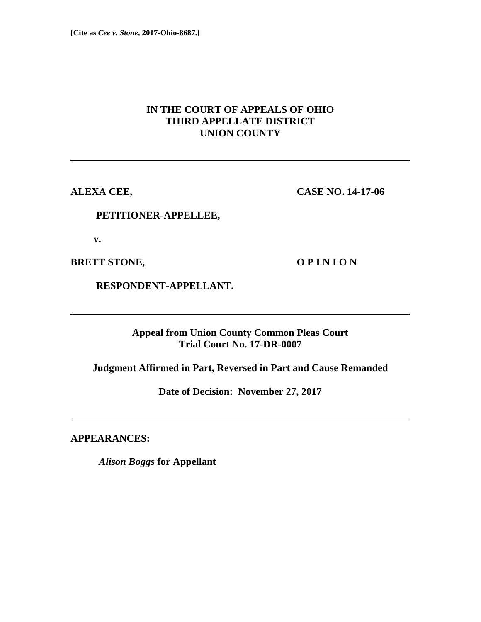# **IN THE COURT OF APPEALS OF OHIO THIRD APPELLATE DISTRICT UNION COUNTY**

**ALEXA CEE, CASE NO. 14-17-06** 

## **PETITIONER-APPELLEE,**

 **v.** 

**BRETT STONE, O P I N I O N** 

 **RESPONDENT-APPELLANT.** 

**Appeal from Union County Common Pleas Court Trial Court No. 17-DR-0007** 

**Judgment Affirmed in Part, Reversed in Part and Cause Remanded** 

**Date of Decision: November 27, 2017** 

**APPEARANCES:** 

*Alison Boggs* **for Appellant**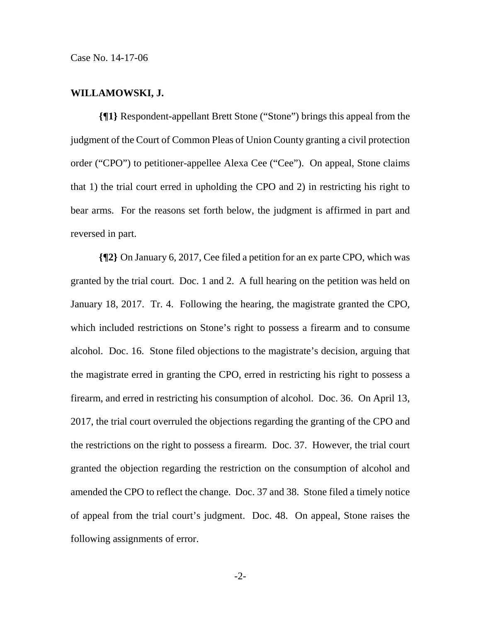#### **WILLAMOWSKI, J.**

**{¶1}** Respondent-appellant Brett Stone ("Stone") brings this appeal from the judgment of the Court of Common Pleas of Union County granting a civil protection order ("CPO") to petitioner-appellee Alexa Cee ("Cee"). On appeal, Stone claims that 1) the trial court erred in upholding the CPO and 2) in restricting his right to bear arms. For the reasons set forth below, the judgment is affirmed in part and reversed in part.

**{¶2}** On January 6, 2017, Cee filed a petition for an ex parte CPO, which was granted by the trial court. Doc. 1 and 2. A full hearing on the petition was held on January 18, 2017. Tr. 4. Following the hearing, the magistrate granted the CPO, which included restrictions on Stone's right to possess a firearm and to consume alcohol. Doc. 16. Stone filed objections to the magistrate's decision, arguing that the magistrate erred in granting the CPO, erred in restricting his right to possess a firearm, and erred in restricting his consumption of alcohol. Doc. 36. On April 13, 2017, the trial court overruled the objections regarding the granting of the CPO and the restrictions on the right to possess a firearm. Doc. 37. However, the trial court granted the objection regarding the restriction on the consumption of alcohol and amended the CPO to reflect the change. Doc. 37 and 38. Stone filed a timely notice of appeal from the trial court's judgment. Doc. 48. On appeal, Stone raises the following assignments of error.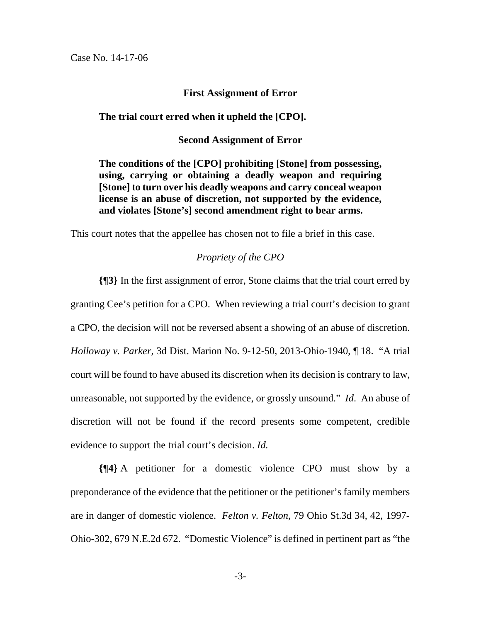## **First Assignment of Error**

## **The trial court erred when it upheld the [CPO].**

### **Second Assignment of Error**

**The conditions of the [CPO] prohibiting [Stone] from possessing, using, carrying or obtaining a deadly weapon and requiring [Stone] to turn over his deadly weapons and carry conceal weapon license is an abuse of discretion, not supported by the evidence, and violates [Stone's] second amendment right to bear arms.** 

This court notes that the appellee has chosen not to file a brief in this case.

## *Propriety of the CPO*

**{¶3}** In the first assignment of error, Stone claims that the trial court erred by granting Cee's petition for a CPO. When reviewing a trial court's decision to grant a CPO, the decision will not be reversed absent a showing of an abuse of discretion. *Holloway v. Parker*, 3d Dist. Marion No. 9-12-50, 2013-Ohio-1940, ¶ 18. "A trial court will be found to have abused its discretion when its decision is contrary to law, unreasonable, not supported by the evidence, or grossly unsound." *Id*. An abuse of discretion will not be found if the record presents some competent, credible evidence to support the trial court's decision. *Id.*

**{¶4}** A petitioner for a domestic violence CPO must show by a preponderance of the evidence that the petitioner or the petitioner's family members are in danger of domestic violence. *Felton v. Felton*, 79 Ohio St.3d 34, 42, 1997- Ohio-302, 679 N.E.2d 672. "Domestic Violence" is defined in pertinent part as "the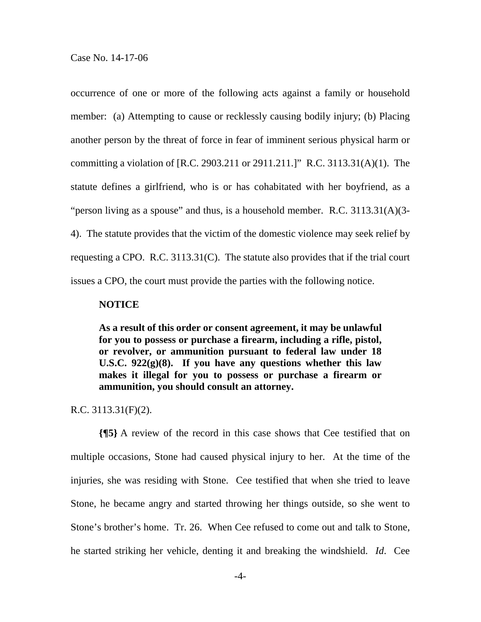occurrence of one or more of the following acts against a family or household member: (a) Attempting to cause or recklessly causing bodily injury; (b) Placing another person by the threat of force in fear of imminent serious physical harm or committing a violation of [R.C. 2903.211 or 2911.211.]" R.C. 3113.31(A)(1). The statute defines a girlfriend, who is or has cohabitated with her boyfriend, as a "person living as a spouse" and thus, is a household member. R.C. 3113.31(A)(3- 4). The statute provides that the victim of the domestic violence may seek relief by requesting a CPO. R.C. 3113.31(C). The statute also provides that if the trial court issues a CPO, the court must provide the parties with the following notice.

#### **NOTICE**

**As a result of this order or consent agreement, it may be unlawful for you to possess or purchase a firearm, including a rifle, pistol, or revolver, or ammunition pursuant to federal law under 18 U.S.C. 922(g)(8). If you have any questions whether this law makes it illegal for you to possess or purchase a firearm or ammunition, you should consult an attorney.** 

R.C. 3113.31(F)(2).

**{¶5}** A review of the record in this case shows that Cee testified that on multiple occasions, Stone had caused physical injury to her. At the time of the injuries, she was residing with Stone. Cee testified that when she tried to leave Stone, he became angry and started throwing her things outside, so she went to Stone's brother's home. Tr. 26. When Cee refused to come out and talk to Stone, he started striking her vehicle, denting it and breaking the windshield. *Id*. Cee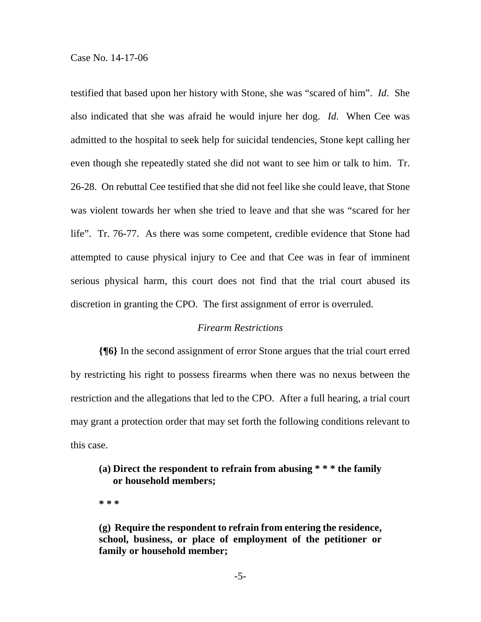testified that based upon her history with Stone, she was "scared of him". *Id*. She also indicated that she was afraid he would injure her dog. *Id*. When Cee was admitted to the hospital to seek help for suicidal tendencies, Stone kept calling her even though she repeatedly stated she did not want to see him or talk to him. Tr. 26-28. On rebuttal Cee testified that she did not feel like she could leave, that Stone was violent towards her when she tried to leave and that she was "scared for her life". Tr. 76-77. As there was some competent, credible evidence that Stone had attempted to cause physical injury to Cee and that Cee was in fear of imminent serious physical harm, this court does not find that the trial court abused its discretion in granting the CPO. The first assignment of error is overruled.

### *Firearm Restrictions*

**{¶6}** In the second assignment of error Stone argues that the trial court erred by restricting his right to possess firearms when there was no nexus between the restriction and the allegations that led to the CPO. After a full hearing, a trial court may grant a protection order that may set forth the following conditions relevant to this case.

# **(a) Direct the respondent to refrain from abusing \* \* \* the family or household members;**

**\* \* \*** 

**(g) Require the respondent to refrain from entering the residence, school, business, or place of employment of the petitioner or family or household member;**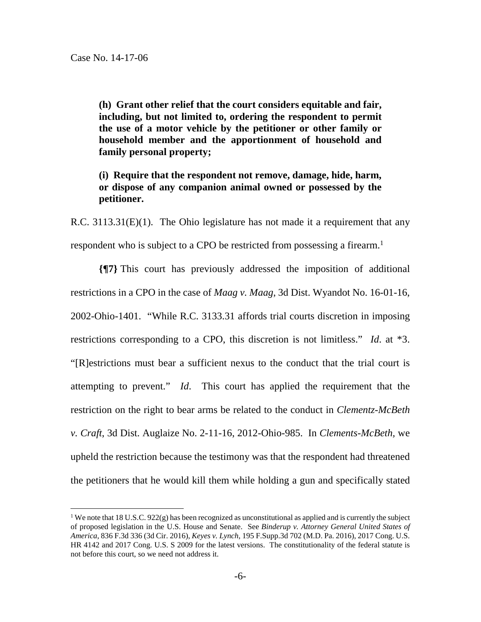$\overline{a}$ 

**(h) Grant other relief that the court considers equitable and fair, including, but not limited to, ordering the respondent to permit the use of a motor vehicle by the petitioner or other family or household member and the apportionment of household and family personal property;** 

**(i) Require that the respondent not remove, damage, hide, harm, or dispose of any companion animal owned or possessed by the petitioner.** 

R.C. 3113.31(E)(1). The Ohio legislature has not made it a requirement that any respondent who is subject to a CPO be restricted from possessing a firearm.<sup>1</sup>

**{¶7}** This court has previously addressed the imposition of additional restrictions in a CPO in the case of *Maag v. Maag*, 3d Dist. Wyandot No. 16-01-16, 2002-Ohio-1401. "While R.C. 3133.31 affords trial courts discretion in imposing restrictions corresponding to a CPO, this discretion is not limitless." *Id*. at \*3. "[R]estrictions must bear a sufficient nexus to the conduct that the trial court is attempting to prevent." *Id*. This court has applied the requirement that the restriction on the right to bear arms be related to the conduct in *Clementz-McBeth v. Craft*, 3d Dist. Auglaize No. 2-11-16, 2012-Ohio-985. In *Clements-McBeth,* we upheld the restriction because the testimony was that the respondent had threatened the petitioners that he would kill them while holding a gun and specifically stated

<sup>&</sup>lt;sup>1</sup> We note that 18 U.S.C. 922(g) has been recognized as unconstitutional as applied and is currently the subject of proposed legislation in the U.S. House and Senate. See *Binderup v. Attorney General United States of America*, 836 F.3d 336 (3d Cir. 2016), *Keyes v. Lynch*, 195 F.Supp.3d 702 (M.D. Pa. 2016), 2017 Cong. U.S. HR 4142 and 2017 Cong. U.S. S 2009 for the latest versions. The constitutionality of the federal statute is not before this court, so we need not address it.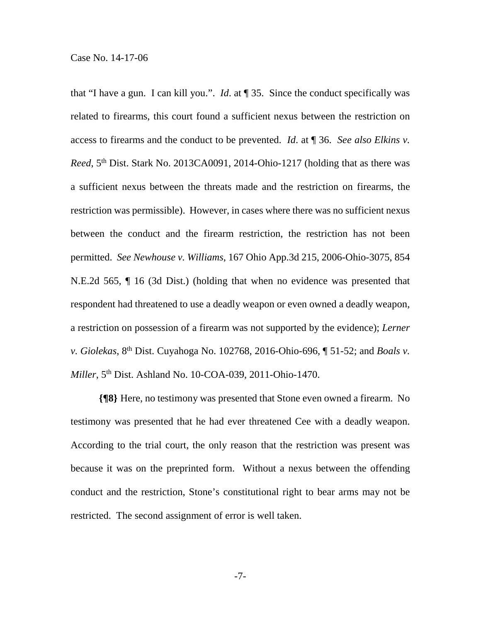that "I have a gun. I can kill you.". *Id*. at ¶ 35. Since the conduct specifically was related to firearms, this court found a sufficient nexus between the restriction on access to firearms and the conduct to be prevented. *Id*. at ¶ 36. *See also Elkins v. Reed*, 5<sup>th</sup> Dist. Stark No. 2013CA0091, 2014-Ohio-1217 (holding that as there was a sufficient nexus between the threats made and the restriction on firearms, the restriction was permissible). However, in cases where there was no sufficient nexus between the conduct and the firearm restriction, the restriction has not been permitted. *See Newhouse v. Williams*, 167 Ohio App.3d 215, 2006-Ohio-3075, 854 N.E.2d 565, ¶ 16 (3d Dist.) (holding that when no evidence was presented that respondent had threatened to use a deadly weapon or even owned a deadly weapon, a restriction on possession of a firearm was not supported by the evidence); *Lerner v. Giolekas*, 8th Dist. Cuyahoga No. 102768, 2016-Ohio-696, ¶ 51-52; and *Boals v. Miller*, 5th Dist. Ashland No. 10-COA-039, 2011-Ohio-1470.

**{¶8}** Here, no testimony was presented that Stone even owned a firearm. No testimony was presented that he had ever threatened Cee with a deadly weapon. According to the trial court, the only reason that the restriction was present was because it was on the preprinted form. Without a nexus between the offending conduct and the restriction, Stone's constitutional right to bear arms may not be restricted. The second assignment of error is well taken.